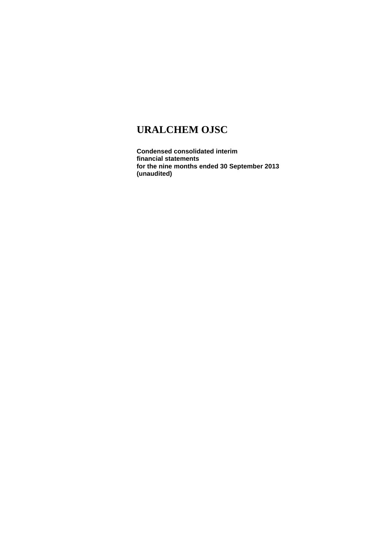**Condensed consolidated interim financial statements for the nine months ended 30 September 2013 (unaudited)**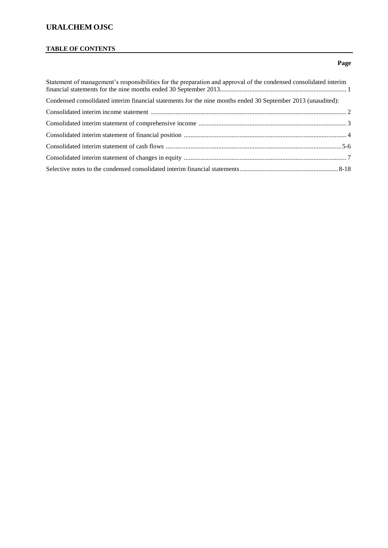# **TABLE OF CONTENTS**

### **Page**

| Statement of management's responsibilities for the preparation and approval of the condensed consolidated interim |  |
|-------------------------------------------------------------------------------------------------------------------|--|
| Condensed consolidated interim financial statements for the nine months ended 30 September 2013 (unaudited):      |  |
|                                                                                                                   |  |
|                                                                                                                   |  |
|                                                                                                                   |  |
|                                                                                                                   |  |
|                                                                                                                   |  |
|                                                                                                                   |  |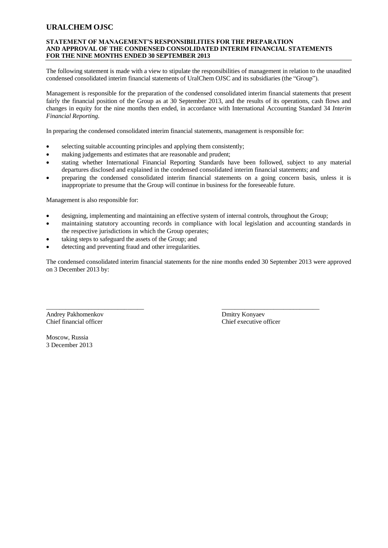#### **STATEMENT OF MANAGEMENT'S RESPONSIBILITIES FOR THE PREPARATION AND APPROVAL OF THE CONDENSED CONSOLIDATED INTERIM FINANCIAL STATEMENTS FOR THE NINE MONTHS ENDED 30 SEPTEMBER 2013**

The following statement is made with a view to stipulate the responsibilities of management in relation to the unaudited condensed consolidated interim financial statements of UralChem OJSC and its subsidiaries (the "Group").

Management is responsible for the preparation of the condensed consolidated interim financial statements that present fairly the financial position of the Group as at 30 September 2013, and the results of its operations, cash flows and changes in equity for the nine months then ended, in accordance with International Accounting Standard 34 *Interim Financial Reporting*.

In preparing the condensed consolidated interim financial statements, management is responsible for:

- selecting suitable accounting principles and applying them consistently;
- making judgements and estimates that are reasonable and prudent;
- stating whether International Financial Reporting Standards have been followed, subject to any material departures disclosed and explained in the condensed consolidated interim financial statements; and
- preparing the condensed consolidated interim financial statements on a going concern basis, unless it is inappropriate to presume that the Group will continue in business for the foreseeable future.

Management is also responsible for:

designing, implementing and maintaining an effective system of internal controls, throughout the Group;

 $\overline{\phantom{a}}$  , and the contribution of the contribution of the contribution of the contribution of the contribution of the contribution of the contribution of the contribution of the contribution of the contribution of the

- maintaining statutory accounting records in compliance with local legislation and accounting standards in the respective jurisdictions in which the Group operates;
- taking steps to safeguard the assets of the Group; and
- detecting and preventing fraud and other irregularities.

The condensed consolidated interim financial statements for the nine months ended 30 September 2013 were approved on 3 December 2013 by:

Andrey Pakhomenkov Dmitry Konyaev Chief financial officer Chief executive officer

Moscow, Russia 3 December 2013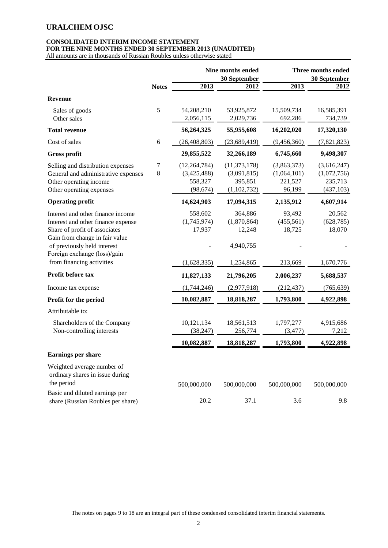### **CONSOLIDATED INTERIM INCOME STATEMENT FOR THE NINE MONTHS ENDED 30 SEPTEMBER 2013 (UNAUDITED)**

All amounts are in thousands of Russian Roubles unless otherwise stated

|                                                                                                                                                                           |              |                                                       | Nine months ended<br>30 September                       |                                                 | <b>Three months ended</b><br>30 September           |
|---------------------------------------------------------------------------------------------------------------------------------------------------------------------------|--------------|-------------------------------------------------------|---------------------------------------------------------|-------------------------------------------------|-----------------------------------------------------|
|                                                                                                                                                                           | <b>Notes</b> | 2013                                                  | 2012                                                    | 2013                                            | 2012                                                |
| <b>Revenue</b>                                                                                                                                                            |              |                                                       |                                                         |                                                 |                                                     |
| Sales of goods<br>Other sales                                                                                                                                             | 5            | 54,208,210<br>2,056,115                               | 53,925,872<br>2,029,736                                 | 15,509,734<br>692,286                           | 16,585,391<br>734,739                               |
| <b>Total revenue</b>                                                                                                                                                      |              | 56,264,325                                            | 55,955,608                                              | 16,202,020                                      | 17,320,130                                          |
| Cost of sales                                                                                                                                                             | 6            | (26, 408, 803)                                        | (23,689,419)                                            | (9,456,360)                                     | (7,821,823)                                         |
| <b>Gross profit</b>                                                                                                                                                       |              | 29,855,522                                            | 32,266,189                                              | 6,745,660                                       | 9,498,307                                           |
| Selling and distribution expenses<br>General and administrative expenses<br>Other operating income<br>Other operating expenses                                            | 7<br>8       | (12, 264, 784)<br>(3,425,488)<br>558,327<br>(98, 674) | (11, 373, 178)<br>(3,091,815)<br>395,851<br>(1,102,732) | (3,863,373)<br>(1,064,101)<br>221,527<br>96,199 | (3,616,247)<br>(1,072,756)<br>235,713<br>(437, 103) |
| <b>Operating profit</b>                                                                                                                                                   |              | 14,624,903                                            | 17,094,315                                              | 2,135,912                                       | 4,607,914                                           |
| Interest and other finance income<br>Interest and other finance expense<br>Share of profit of associates<br>Gain from change in fair value<br>of previously held interest |              | 558,602<br>(1,745,974)<br>17,937                      | 364,886<br>(1,870,864)<br>12,248<br>4,940,755           | 93,492<br>(455, 561)<br>18,725                  | 20,562<br>(628, 785)<br>18,070                      |
| Foreign exchange (loss)/gain<br>from financing activities                                                                                                                 |              | (1,628,335)                                           | 1,254,865                                               | 213,669                                         | 1,670,776                                           |
| Profit before tax                                                                                                                                                         |              | 11,827,133                                            | 21,796,205                                              | 2,006,237                                       | 5,688,537                                           |
| Income tax expense                                                                                                                                                        |              | (1,744,246)                                           | (2,977,918)                                             | (212, 437)                                      | (765, 639)                                          |
| Profit for the period                                                                                                                                                     |              | 10,082,887                                            | 18,818,287                                              | 1,793,800                                       | 4,922,898                                           |
| Attributable to:                                                                                                                                                          |              |                                                       |                                                         |                                                 |                                                     |
| Shareholders of the Company<br>Non-controlling interests                                                                                                                  |              | 10,121,134<br>(38, 247)                               | 18,561,513<br>256,774                                   | 1,797,277<br>(3, 477)                           | 4,915,686<br>7,212                                  |
|                                                                                                                                                                           |              | 10,082,887                                            | 18,818,287                                              | 1,793,800                                       | 4,922,898                                           |
| <b>Earnings per share</b>                                                                                                                                                 |              |                                                       |                                                         |                                                 |                                                     |
| Weighted average number of<br>ordinary shares in issue during<br>the period                                                                                               |              | 500,000,000                                           | 500,000,000                                             | 500,000,000                                     | 500,000,000                                         |
| Basic and diluted earnings per<br>share (Russian Roubles per share)                                                                                                       |              | 20.2                                                  | 37.1                                                    | 3.6                                             | 9.8                                                 |

The notes on pages 9 to 18 are an integral part of these condensed consolidated interim financial statements.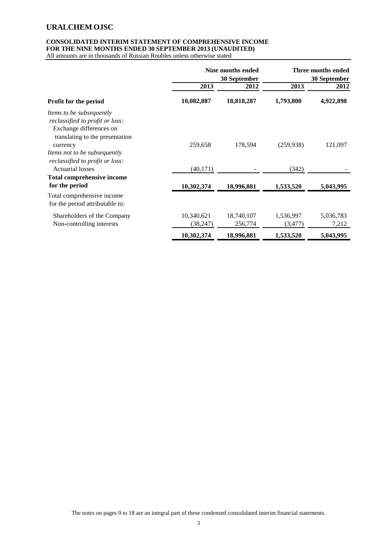### **CONSOLIDATED INTERIM STATEMENT OF COMPREHENSIVE INCOME FOR THE NINE MONTHS ENDED 30 SEPTEMBER 2013 (UNAUDITED)**

|                                                                                                                                  | Nine months ended<br>30 September |            | Three months ended<br>30 September |           |
|----------------------------------------------------------------------------------------------------------------------------------|-----------------------------------|------------|------------------------------------|-----------|
|                                                                                                                                  | 2013                              | 2012       | 2013                               | 2012      |
| <b>Profit for the period</b>                                                                                                     | 10,082,887                        | 18,818,287 | 1,793,800                          | 4,922,898 |
| <i>Items to be subsequently</i><br>reclassified to profit or loss:<br>Exchange differences on<br>translating to the presentation |                                   |            |                                    |           |
| currency                                                                                                                         | 259,658                           | 178,594    | (259, 938)                         | 121,097   |
| Items not to be subsequently                                                                                                     |                                   |            |                                    |           |
| reclassified to profit or loss:                                                                                                  |                                   |            |                                    |           |
| <b>Actuarial losses</b>                                                                                                          | (40, 171)                         |            | (342)                              |           |
| <b>Total comprehensive income</b>                                                                                                |                                   |            |                                    |           |
| for the period                                                                                                                   | 10,302,374                        | 18,996,881 | 1,533,520                          | 5,043,995 |
| Total comprehensive income<br>for the period attributable to:                                                                    |                                   |            |                                    |           |
| Shareholders of the Company                                                                                                      | 10,340,621                        | 18,740,107 | 1,536,997                          | 5,036,783 |
| Non-controlling interests                                                                                                        | (38,247)                          | 256,774    | (3,477)                            | 7,212     |
|                                                                                                                                  | 10,302,374                        | 18,996,881 | 1,533,520                          | 5,043,995 |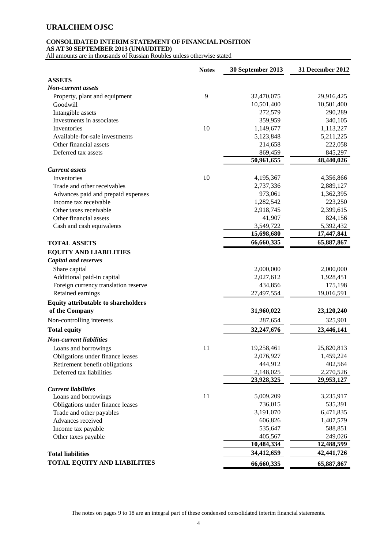### **CONSOLIDATED INTERIM STATEMENT OF FINANCIAL POSITION**

**AS AT 30 SEPTEMBER 2013 (UNAUDITED)**

|                                            | <b>Notes</b> | 30 September 2013 | 31 December 2012 |
|--------------------------------------------|--------------|-------------------|------------------|
| <b>ASSETS</b>                              |              |                   |                  |
| <b>Non-current assets</b>                  |              |                   |                  |
| Property, plant and equipment              | 9            | 32,470,075        | 29,916,425       |
| Goodwill                                   |              | 10,501,400        | 10,501,400       |
| Intangible assets                          |              | 272,579           | 290,289          |
| Investments in associates                  |              | 359,959           | 340,105          |
| Inventories                                | 10           | 1,149,677         | 1,113,227        |
| Available-for-sale investments             |              | 5,123,848         | 5,211,225        |
| Other financial assets                     |              | 214,658           | 222,058          |
| Deferred tax assets                        |              | 869,459           | 845,297          |
|                                            |              | 50,961,655        | 48,440,026       |
| <b>Current</b> assets                      |              |                   |                  |
| Inventories                                | 10           | 4,195,367         | 4,356,866        |
| Trade and other receivables                |              | 2,737,336         | 2,889,127        |
| Advances paid and prepaid expenses         |              | 973,061           | 1,362,395        |
| Income tax receivable                      |              | 1,282,542         | 223,250          |
| Other taxes receivable                     |              | 2,918,745         | 2,399,615        |
| Other financial assets                     |              | 41,907            | 824,156          |
| Cash and cash equivalents                  |              | 3,549,722         | 5,392,432        |
|                                            |              | 15,698,680        | 17,447,841       |
| <b>TOTAL ASSETS</b>                        |              | 66,660,335        | 65,887,867       |
| <b>EQUITY AND LIABILITIES</b>              |              |                   |                  |
| <b>Capital and reserves</b>                |              |                   |                  |
| Share capital                              |              | 2,000,000         | 2,000,000        |
| Additional paid-in capital                 |              | 2,027,612         | 1,928,451        |
| Foreign currency translation reserve       |              | 434,856           | 175,198          |
| Retained earnings                          |              | 27,497,554        | 19,016,591       |
| <b>Equity attributable to shareholders</b> |              |                   |                  |
| of the Company                             |              | 31,960,022        | 23,120,240       |
| Non-controlling interests                  |              | 287,654           | 325,901          |
|                                            |              |                   |                  |
| <b>Total equity</b>                        |              | 32,247,676        | 23,446,141       |
| <b>Non-current liabilities</b>             |              |                   |                  |
| Loans and borrowings                       | 11           | 19,258,461        | 25,820,813       |
| Obligations under finance leases           |              | 2,076,927         | 1,459,224        |
| Retirement benefit obligations             |              | 444,912           | 402,564          |
| Deferred tax liabilities                   |              | 2,148,025         | 2,270,526        |
|                                            |              | 23,928,325        | 29,953,127       |
| <b>Current liabilities</b>                 |              |                   |                  |
| Loans and borrowings                       | 11           | 5,009,209         | 3,235,917        |
| Obligations under finance leases           |              | 736,015           | 535,391          |
| Trade and other payables                   |              | 3,191,070         | 6,471,835        |
| Advances received                          |              | 606,826           | 1,407,579        |
| Income tax payable                         |              | 535,647           | 588,851          |
| Other taxes payable                        |              | 405,567           | 249,026          |
|                                            |              | 10,484,334        | 12,488,599       |
| <b>Total liabilities</b>                   |              | 34,412,659        | 42,441,726       |
| <b>TOTAL EQUITY AND LIABILITIES</b>        |              | 66,660,335        | 65,887,867       |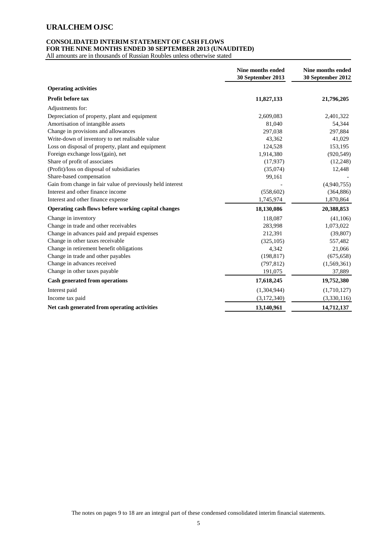#### **CONSOLIDATED INTERIM STATEMENT OF CASH FLOWS FOR THE NINE MONTHS ENDED 30 SEPTEMBER 2013 (UNAUDITED)**

|                                                            | Nine months ended<br>30 September 2013 | Nine months ended<br>30 September 2012 |
|------------------------------------------------------------|----------------------------------------|----------------------------------------|
| <b>Operating activities</b>                                |                                        |                                        |
| <b>Profit before tax</b>                                   | 11,827,133                             | 21,796,205                             |
| Adjustments for:                                           |                                        |                                        |
| Depreciation of property, plant and equipment              | 2,609,083                              | 2,401,322                              |
| Amortisation of intangible assets                          | 81,040                                 | 54,344                                 |
| Change in provisions and allowances                        | 297,038                                | 297,884                                |
| Write-down of inventory to net realisable value            | 43,362                                 | 41,029                                 |
| Loss on disposal of property, plant and equipment          | 124,528                                | 153,195                                |
| Foreign exchange loss/(gain), net                          | 1,914,380                              | (920, 549)                             |
| Share of profit of associates                              | (17,937)                               | (12, 248)                              |
| (Profit)/loss on disposal of subsidiaries                  | (35,074)                               | 12,448                                 |
| Share-based compensation                                   | 99,161                                 |                                        |
| Gain from change in fair value of previously held interest |                                        | (4,940,755)                            |
| Interest and other finance income                          | (558, 602)                             | (364, 886)                             |
| Interest and other finance expense                         | 1,745,974                              | 1,870,864                              |
| Operating cash flows before working capital changes        | 18,130,086                             | 20,388,853                             |
| Change in inventory                                        | 118,087                                | (41,106)                               |
| Change in trade and other receivables                      | 283,998                                | 1,073,022                              |
| Change in advances paid and prepaid expenses               | 212,391                                | (39, 807)                              |
| Change in other taxes receivable                           | (325, 105)                             | 557,482                                |
| Change in retirement benefit obligations                   | 4,342                                  | 21,066                                 |
| Change in trade and other payables                         | (198, 817)                             | (675, 658)                             |
| Change in advances received                                | (797, 812)                             | (1,569,361)                            |
| Change in other taxes payable                              | 191,075                                | 37,889                                 |
| <b>Cash generated from operations</b>                      | 17,618,245                             | 19,752,380                             |
| Interest paid                                              | (1,304,944)                            | (1,710,127)                            |
| Income tax paid                                            | (3, 172, 340)                          | (3,330,116)                            |
| Net cash generated from operating activities               | 13,140,961                             | 14,712,137                             |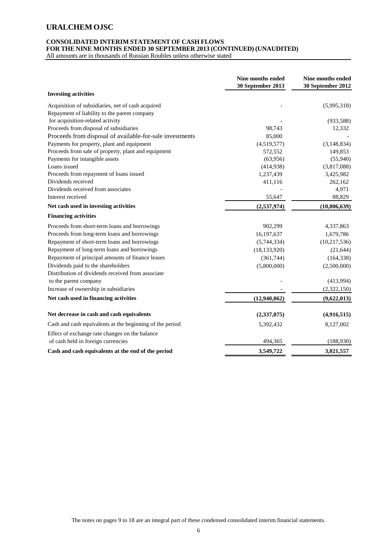#### **CONSOLIDATED INTERIM STATEMENT OF CASH FLOWS FOR THE NINE MONTHS ENDED 30 SEPTEMBER 2013 (CONTINUED) (UNAUDITED)**

|                                                          | Nine months ended<br>30 September 2013 | Nine months ended<br>30 September 2012 |
|----------------------------------------------------------|----------------------------------------|----------------------------------------|
| <b>Investing activities</b>                              |                                        |                                        |
| Acquisition of subsidiaries, net of cash acquired        |                                        | (5,995,318)                            |
| Repayment of liability to the parent company             |                                        |                                        |
| for acquisition-related activity                         |                                        | (933, 588)                             |
| Proceeds from disposal of subsidiaries                   | 98,743                                 | 12,332                                 |
| Proceeds from disposal of available-for-sale investments | 85,000                                 |                                        |
| Payments for property, plant and equipment               | (4,519,577)                            | (3, 148, 834)                          |
| Proceeds from sale of property, plant and equipment      | 572,552                                | 149,853                                |
| Payments for intangible assets                           | (63,956)                               | (55,940)                               |
| Loans issued                                             | (414,938)                              | (3,817,088)                            |
| Proceeds from repayment of loans issued                  | 1,237,439                              | 3,425,982                              |
| Dividends received                                       | 411,116                                | 262,162                                |
| Dividends received from associates                       |                                        | 4,971                                  |
| Interest received                                        | 55,647                                 | 88,829                                 |
| Net cash used in investing activities                    | (2,537,974)                            | (10,006,639)                           |
| <b>Financing activities</b>                              |                                        |                                        |
| Proceeds from short-term loans and borrowings            | 902,299                                | 4,337,863                              |
| Proceeds from long-term loans and borrowings             | 16,197,637                             | 1,679,786                              |
| Repayment of short-term loans and borrowings             | (5,744,334)                            | (10, 217, 536)                         |
| Repayment of long-term loans and borrowings              | (18, 133, 920)                         | (21, 644)                              |
| Repayment of principal amounts of finance leases         | (361,744)                              | (164, 338)                             |
| Dividends paid to the shareholders                       | (5,800,000)                            | (2,500,000)                            |
| Distribution of dividends received from associate        |                                        |                                        |
| to the parent company                                    |                                        | (413,994)                              |
| Increase of ownership in subsidiaries                    |                                        | (2,322,150)                            |
| Net cash used in financing activities                    | (12,940,062)                           | (9,622,013)                            |
| Net decrease in cash and cash equivalents                | (2,337,075)                            | (4,916,515)                            |
| Cash and cash equivalents at the beginning of the period | 5,392,432                              | 8,127,002                              |
| Effect of exchange rate changes on the balance           |                                        |                                        |
| of cash held in foreign currencies                       | 494,365                                | (188,930)                              |
| Cash and cash equivalents at the end of the period       | 3,549,722                              | 3,021,557                              |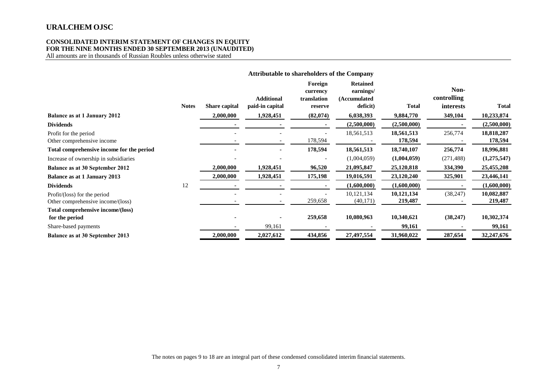### **CONSOLIDATED INTERIM STATEMENT OF CHANGES IN EQUITY FOR THE NINE MONTHS ENDED 30 SEPTEMBER 2013 (UNAUDITED)**

All amounts are in thousands of Russian Roubles unless otherwise stated

|                                                                   |              |                      | <b>Attributable to shareholders of the Company</b> |                                               |                                                          |                       |                                  |                       |
|-------------------------------------------------------------------|--------------|----------------------|----------------------------------------------------|-----------------------------------------------|----------------------------------------------------------|-----------------------|----------------------------------|-----------------------|
|                                                                   | <b>Notes</b> | <b>Share capital</b> | <b>Additional</b><br>paid-in capital               | Foreign<br>currency<br>translation<br>reserve | <b>Retained</b><br>earnings/<br>(Accumulated<br>deficit) | <b>Total</b>          | Non-<br>controlling<br>interests | <b>Total</b>          |
| <b>Balance as at 1 January 2012</b>                               |              | 2,000,000            | 1,928,451                                          | (82,074)                                      | 6,038,393                                                | 9,884,770             | 349,104                          | 10,233,874            |
| <b>Dividends</b>                                                  |              |                      |                                                    |                                               | (2,500,000)                                              | (2,500,000)           |                                  | (2,500,000)           |
| Profit for the period<br>Other comprehensive income               |              |                      |                                                    | 178,594                                       | 18,561,513                                               | 18,561,513<br>178,594 | 256,774                          | 18,818,287<br>178,594 |
| Total comprehensive income for the period                         |              |                      |                                                    | 178,594                                       | 18,561,513                                               | 18,740,107            | 256,774                          | 18,996,881            |
| Increase of ownership in subsidiaries                             |              |                      |                                                    |                                               | (1,004,059)                                              | (1,004,059)           | (271, 488)                       | (1, 275, 547)         |
| Balance as at 30 September 2012                                   |              | 2,000,000            | 1,928,451                                          | 96,520                                        | 21,095,847                                               | 25,120,818            | 334,390                          | 25,455,208            |
| <b>Balance as at 1 January 2013</b>                               |              | 2,000,000            | 1,928,451                                          | 175,198                                       | 19,016,591                                               | 23,120,240            | 325,901                          | 23,446,141            |
| <b>Dividends</b>                                                  | 12           |                      |                                                    |                                               | (1,600,000)                                              | (1,600,000)           |                                  | (1,600,000)           |
| Profit/(loss) for the period<br>Other comprehensive income/(loss) |              |                      |                                                    | 259,658                                       | 10,121,134<br>(40, 171)                                  | 10,121,134<br>219,487 | (38, 247)                        | 10,082,887<br>219,487 |
| Total comprehensive income/(loss)<br>for the period               |              |                      |                                                    | 259,658                                       | 10,080,963                                               | 10,340,621            | (38, 247)                        | 10,302,374            |
| Share-based payments                                              |              |                      | 99,161                                             |                                               |                                                          | 99,161                |                                  | 99,161                |
| Balance as at 30 September 2013                                   |              | 2,000,000            | 2,027,612                                          | 434,856                                       | 27,497,554                                               | 31,960,022            | 287,654                          | 32,247,676            |

The notes on pages 9 to 18 are an integral part of these condensed consolidated interim financial statements.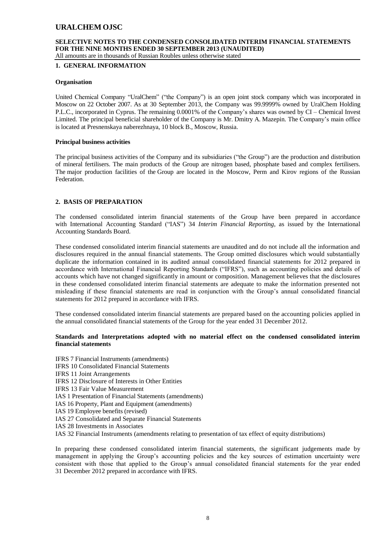### **SELECTIVE NOTES TO THE CONDENSED CONSOLIDATED INTERIM FINANCIAL STATEMENTS FOR THE NINE MONTHS ENDED 30 SEPTEMBER 2013 (UNAUDITED)**

All amounts are in thousands of Russian Roubles unless otherwise stated

#### **1. GENERAL INFORMATION**

#### **Organisation**

United Chemical Company "UralChem" ("the Company") is an open joint stock company which was incorporated in Moscow on 22 October 2007. As at 30 September 2013, the Company was 99.9999% owned by UralChem Holding P.L.C., incorporated in Cyprus. The remaining 0.0001% of the Company's shares was owned by CI – Chemical Invest Limited. The principal beneficial shareholder of the Company is Mr. Dmitry A. Mazepin. The Company's main office is located at Presnenskaya naberezhnaya, 10 block B., Moscow, Russia.

#### **Principal business activities**

The principal business activities of the Company and its subsidiaries ("the Group") are the production and distribution of mineral fertilisers. The main products of the Group are nitrogen based, phosphate based and complex fertilisers. The major production facilities of the Group are located in the Moscow, Perm and Kirov regions of the Russian Federation.

#### **2. BASIS OF PREPARATION**

The condensed consolidated interim financial statements of the Group have been prepared in accordance with International Accounting Standard ("IAS") 34 *Interim Financial Reporting*, as issued by the International Accounting Standards Board.

These condensed consolidated interim financial statements are unaudited and do not include all the information and disclosures required in the annual financial statements. The Group omitted disclosures which would substantially duplicate the information contained in its audited annual consolidated financial statements for 2012 prepared in accordance with International Financial Reporting Standards ("IFRS"), such as accounting policies and details of accounts which have not changed significantly in amount or composition. Management believes that the disclosures in these condensed consolidated interim financial statements are adequate to make the information presented not misleading if these financial statements are read in conjunction with the Group's annual consolidated financial statements for 2012 prepared in accordance with IFRS.

These condensed consolidated interim financial statements are prepared based on the accounting policies applied in the annual consolidated financial statements of the Group for the year ended 31 December 2012.

#### **Standards and Interpretations adopted with no material effect on the condensed consolidated interim financial statements**

IFRS 7 Financial Instruments (amendments) IFRS 10 Consolidated Financial Statements IFRS 11 Joint Arrangements IFRS 12 Disclosure of Interests in Other Entities IFRS 13 Fair Value Measurement IAS 1 Presentation of Financial Statements (amendments) IAS 16 Property, Plant and Equipment (amendments) IAS 19 Employee benefits (revised) IAS 27 Consolidated and Separate Financial Statements IAS 28 Investments in Associates IAS 32 Financial Instruments (amendments relating to presentation of tax effect of equity distributions)

In preparing these condensed consolidated interim financial statements, the significant judgements made by management in applying the Group's accounting policies and the key sources of estimation uncertainty were consistent with those that applied to the Group's annual consolidated financial statements for the year ended 31 December 2012 prepared in accordance with IFRS.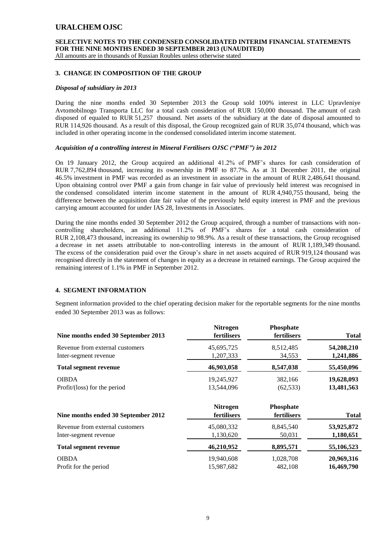**SELECTIVE NOTES TO THE CONDENSED CONSOLIDATED INTERIM FINANCIAL STATEMENTS FOR THE NINE MONTHS ENDED 30 SEPTEMBER 2013 (UNAUDITED)**

All amounts are in thousands of Russian Roubles unless otherwise stated

#### **3. CHANGE IN COMPOSITION OF THE GROUP**

#### *Disposal of subsidiary in 2013*

During the nine months ended 30 September 2013 the Group sold 100% interest in LLC Upravleniye Avtomobilnogo Transporta LLC for a total cash consideration of RUR 150,000 thousand. The amount of cash disposed of equaled to RUR 51,257 thousand. Net assets of the subsidiary at the date of disposal amounted to RUR 114,926 thousand. As a result of this disposal, the Group recognized gain of RUR 35,074 thousand, which was included in other operating income in the condensed consolidated interim income statement.

#### *Acquisition of a controlling interest in Mineral Fertilisers OJSC ("PMF") in 2012*

On 19 January 2012, the Group acquired an additional 41.2% of PMF's shares for cash consideration of RUR 7,762,894 thousand, increasing its ownership in PMF to 87.7%. As at 31 December 2011, the original 46.5% investment in PMF was recorded as an investment in associate in the amount of RUR 2,486,641 thousand. Upon obtaining control over PMF a gain from change in fair value of previously held interest was recognised in the condensed consolidated interim income statement in the amount of RUR 4,940,755 thousand, being the difference between the acquisition date fair value of the previously held equity interest in PMF and the previous carrying amount accounted for under IAS 28, Investments in Associates.

During the nine months ended 30 September 2012 the Group acquired, through a number of transactions with noncontrolling shareholders, an additional 11.2% of PMF's shares for a total cash consideration of RUR 2,108,473 thousand, increasing its ownership to 98.9%. As a result of these transactions, the Group recognised a decrease in net assets attributable to non-controlling interests in the amount of RUR 1,189,349 thousand. The excess of the consideration paid over the Group's share in net assets acquired of RUR 919,124 thousand was recognised directly in the statement of changes in equity as a decrease in retained earnings. The Group acquired the remaining interest of 1.1% in PMF in September 2012.

#### **4. SEGMENT INFORMATION**

Segment information provided to the chief operating decision maker for the reportable segments for the nine months ended 30 September 2013 was as follows:

| Nine months ended 30 September 2013 | <b>Nitrogen</b><br>fertilisers | Phosphate<br>fertilisers | <b>Total</b> |
|-------------------------------------|--------------------------------|--------------------------|--------------|
| Revenue from external customers     | 45,695,725                     | 8,512,485                | 54,208,210   |
| Inter-segment revenue               | 1,207,333                      | 34,553                   | 1,241,886    |
| <b>Total segment revenue</b>        | 46,903,058                     | 8,547,038                | 55,450,096   |
| <b>OIBDA</b>                        | 19,245,927                     | 382,166                  | 19,628,093   |
| Profit/(loss) for the period        | 13,544,096                     | (62, 533)                | 13,481,563   |
| Nine months ended 30 September 2012 | <b>Nitrogen</b><br>fertilisers | Phosphate<br>fertilisers | <b>Total</b> |
| Revenue from external customers     | 45,080,332                     | 8,845,540                | 53,925,872   |
| Inter-segment revenue               | 1,130,620                      | 50,031                   | 1,180,651    |
| <b>Total segment revenue</b>        | 46,210,952                     | 8,895,571                | 55,106,523   |
| <b>OIBDA</b>                        | 19,940,608                     | 1,028,708                | 20,969,316   |
| Profit for the period               | 15,987,682                     | 482,108                  | 16,469,790   |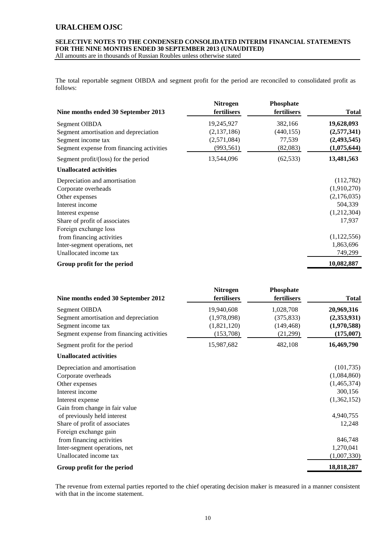#### **SELECTIVE NOTES TO THE CONDENSED CONSOLIDATED INTERIM FINANCIAL STATEMENTS FOR THE NINE MONTHS ENDED 30 SEPTEMBER 2013 (UNAUDITED)** All amounts are in thousands of Russian Roubles unless otherwise stated

The total reportable segment OIBDA and segment profit for the period are reconciled to consolidated profit as follows:

| Nine months ended 30 September 2013       | Nitrogen<br>fertilisers | Phosphate<br>fertilisers | <b>Total</b> |
|-------------------------------------------|-------------------------|--------------------------|--------------|
| Segment OIBDA                             | 19,245,927              | 382,166                  | 19,628,093   |
| Segment amortisation and depreciation     | (2,137,186)             | (440, 155)               | (2,577,341)  |
| Segment income tax                        | (2,571,084)             | 77,539                   | (2,493,545)  |
| Segment expense from financing activities | (993, 561)              | (82,083)                 | (1,075,644)  |
| Segment profit/(loss) for the period      | 13,544,096              | (62, 533)                | 13,481,563   |
| <b>Unallocated activities</b>             |                         |                          |              |
| Depreciation and amortisation             |                         |                          | (112,782)    |
| Corporate overheads                       |                         |                          | (1,910,270)  |
| Other expenses                            |                         |                          | (2,176,035)  |
| Interest income                           |                         |                          | 504,339      |
| Interest expense                          |                         |                          | (1,212,304)  |
| Share of profit of associates             |                         |                          | 17,937       |
| Foreign exchange loss                     |                         |                          |              |
| from financing activities                 |                         |                          | (1,122,556)  |
| Inter-segment operations, net             |                         |                          | 1,863,696    |
| Unallocated income tax                    |                         |                          | 749,299      |
| Group profit for the period               |                         |                          | 10,082,887   |

| Nine months ended 30 September 2012       | <b>Nitrogen</b><br>fertilisers | Phosphate<br>fertilisers | <b>Total</b> |
|-------------------------------------------|--------------------------------|--------------------------|--------------|
| Segment OIBDA                             | 19,940,608                     | 1,028,708                | 20,969,316   |
| Segment amortisation and depreciation     | (1,978,098)                    | (375, 833)               | (2,353,931)  |
| Segment income tax                        | (1,821,120)                    | (149, 468)               | (1,970,588)  |
| Segment expense from financing activities | (153,708)                      | (21,299)                 | (175,007)    |
| Segment profit for the period             | 15,987,682                     | 482,108                  | 16,469,790   |
| <b>Unallocated activities</b>             |                                |                          |              |
| Depreciation and amortisation             |                                |                          | (101, 735)   |
| Corporate overheads                       |                                |                          | (1,084,860)  |
| Other expenses                            |                                |                          | (1,465,374)  |
| Interest income                           |                                |                          | 300,156      |
| Interest expense                          |                                |                          | (1,362,152)  |
| Gain from change in fair value            |                                |                          |              |
| of previously held interest               |                                |                          | 4,940,755    |
| Share of profit of associates             |                                |                          | 12,248       |
| Foreign exchange gain                     |                                |                          |              |
| from financing activities                 |                                |                          | 846,748      |
| Inter-segment operations, net             |                                |                          | 1,270,041    |
| Unallocated income tax                    |                                |                          | (1,007,330)  |
| Group profit for the period               |                                |                          | 18,818,287   |

The revenue from external parties reported to the chief operating decision maker is measured in a manner consistent with that in the income statement.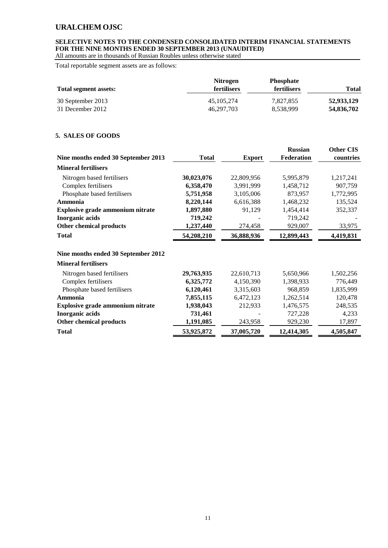### **SELECTIVE NOTES TO THE CONDENSED CONSOLIDATED INTERIM FINANCIAL STATEMENTS FOR THE NINE MONTHS ENDED 30 SEPTEMBER 2013 (UNAUDITED)**

All amounts are in thousands of Russian Roubles unless otherwise stated

Total reportable segment assets are as follows:

|                       | <b>Nitrogen</b>    | <b>Phosphate</b>   |              |
|-----------------------|--------------------|--------------------|--------------|
| Total segment assets: | <b>fertilisers</b> | <b>fertilisers</b> | <b>Total</b> |
| 30 September 2013     | 45, 105, 274       | 7,827,855          | 52,933,129   |
| 31 December 2012      | 46.297.703         | 8,538,999          | 54,836,702   |

### **5. SALES OF GOODS**

|                                         |              |               | <b>Russian</b> | <b>Other CIS</b> |
|-----------------------------------------|--------------|---------------|----------------|------------------|
| Nine months ended 30 September 2013     | <b>Total</b> | <b>Export</b> | Federation     | countries        |
| <b>Mineral fertilisers</b>              |              |               |                |                  |
| Nitrogen based fertilisers              | 30,023,076   | 22,809,956    | 5,995,879      | 1,217,241        |
| Complex fertilisers                     | 6,358,470    | 3,991,999     | 1,458,712      | 907,759          |
| Phosphate based fertilisers             | 5,751,958    | 3,105,006     | 873,957        | 1,772,995        |
| Ammonia                                 | 8,220,144    | 6,616,388     | 1,468,232      | 135,524          |
| <b>Explosive grade ammonium nitrate</b> | 1,897,880    | 91,129        | 1,454,414      | 352,337          |
| <b>Inorganic acids</b>                  | 719,242      |               | 719,242        |                  |
| Other chemical products                 | 1,237,440    | 274,458       | 929,007        | 33,975           |
| <b>Total</b>                            | 54,208,210   | 36,888,936    | 12,899,443     | 4,419,831        |
| Nine months ended 30 September 2012     |              |               |                |                  |
| <b>Mineral fertilisers</b>              |              |               |                |                  |
| Nitrogen based fertilisers              | 29,763,935   | 22,610,713    | 5,650,966      | 1,502,256        |
| Complex fertilisers                     | 6,325,772    | 4,150,390     | 1,398,933      | 776,449          |
| Phosphate based fertilisers             | 6,120,461    | 3,315,603     | 968,859        | 1,835,999        |
| Ammonia                                 | 7,855,115    | 6,472,123     | 1,262,514      | 120,478          |
| <b>Explosive grade ammonium nitrate</b> | 1,938,043    | 212,933       | 1,476,575      | 248,535          |
| <b>Inorganic acids</b>                  | 731,461      |               | 727,228        | 4,233            |
| Other chemical products                 | 1,191,085    | 243,958       | 929,230        | 17,897           |
| <b>Total</b>                            | 53,925,872   | 37,005,720    | 12,414,305     | 4,505,847        |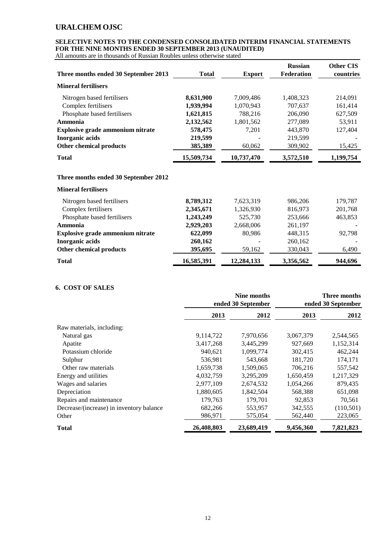### **SELECTIVE NOTES TO THE CONDENSED CONSOLIDATED INTERIM FINANCIAL STATEMENTS FOR THE NINE MONTHS ENDED 30 SEPTEMBER 2013 (UNAUDITED)**

All amounts are in thousands of Russian Roubles unless otherwise stated

| Three months ended 30 September 2013    | <b>Total</b> | <b>Export</b> | <b>Russian</b><br>Federation | <b>Other CIS</b><br>countries |
|-----------------------------------------|--------------|---------------|------------------------------|-------------------------------|
| <b>Mineral fertilisers</b>              |              |               |                              |                               |
| Nitrogen based fertilisers              | 8,631,900    | 7,009,486     | 1,408,323                    | 214,091                       |
| Complex fertilisers                     | 1,939,994    | 1,070,943     | 707,637                      | 161,414                       |
| Phosphate based fertilisers             | 1,621,815    | 788,216       | 206,090                      | 627,509                       |
| Ammonia                                 | 2,132,562    | 1,801,562     | 277,089                      | 53,911                        |
| <b>Explosive grade ammonium nitrate</b> | 578,475      | 7,201         | 443,870                      | 127,404                       |
| <b>Inorganic acids</b>                  | 219,599      |               | 219,599                      |                               |
| <b>Other chemical products</b>          | 385,389      | 60,062        | 309,902                      | 15,425                        |
| <b>Total</b>                            | 15,509,734   | 10,737,470    | 3,572,510                    | 1,199,754                     |
| Three months ended 30 September 2012    |              |               |                              |                               |
| <b>Mineral fertilisers</b>              |              |               |                              |                               |
| Nitrogen based fertilisers              | 8,789,312    | 7,623,319     | 986,206                      | 179,787                       |
| Complex fertilisers                     | 2,345,671    | 1,326,930     | 816,973                      | 201,768                       |
| Phosphate based fertilisers             | 1,243,249    | 525,730       | 253,666                      | 463,853                       |

| <b>Total</b>                     | 16,585,391 | 12,284,133             | 3,356,562 | 944,696 |
|----------------------------------|------------|------------------------|-----------|---------|
| Other chemical products          | 395,695    | 59.162                 | 330.043   | 6,490   |
| Inorganic acids                  | 260,162    |                        | 260.162   |         |
| Explosive grade ammonium nitrate | 622,099    | 80.986                 | 448,315   | 92,798  |
| Ammonia                          | 2,929,203  | 2,668,006              | 261,197   |         |
| r hosphale based ferunsers       | 1,243,249  | <i><b>JZJ, IJU</b></i> | 295.000   | 403,033 |

### **6. COST OF SALES**

|                                          |            | Nine months<br>ended 30 September |           | Three months<br>ended 30 September |
|------------------------------------------|------------|-----------------------------------|-----------|------------------------------------|
|                                          | 2013       | 2012                              | 2013      | 2012                               |
| Raw materials, including:                |            |                                   |           |                                    |
| Natural gas                              | 9,114,722  | 7,970,656                         | 3,067,379 | 2,544,565                          |
| Apatite                                  | 3,417,268  | 3,445,299                         | 927,669   | 1,152,314                          |
| Potassium chloride                       | 940,621    | 1,099,774                         | 302,415   | 462,244                            |
| Sulphur                                  | 536,981    | 543,668                           | 181,720   | 174,171                            |
| Other raw materials                      | 1,659,738  | 1,509,065                         | 706,216   | 557,542                            |
| Energy and utilities                     | 4,032,759  | 3,295,209                         | 1,650,459 | 1,217,329                          |
| Wages and salaries                       | 2,977,109  | 2,674,532                         | 1,054,266 | 879,435                            |
| Depreciation                             | 1,880,605  | 1,842,504                         | 568,388   | 651,098                            |
| Repairs and maintenance                  | 179,763    | 179,701                           | 92,853    | 70,561                             |
| Decrease/(increase) in inventory balance | 682,266    | 553,957                           | 342,555   | (110, 501)                         |
| Other                                    | 986,971    | 575,054                           | 562,440   | 223,065                            |
| Total                                    | 26,408,803 | 23,689,419                        | 9,456,360 | 7,821,823                          |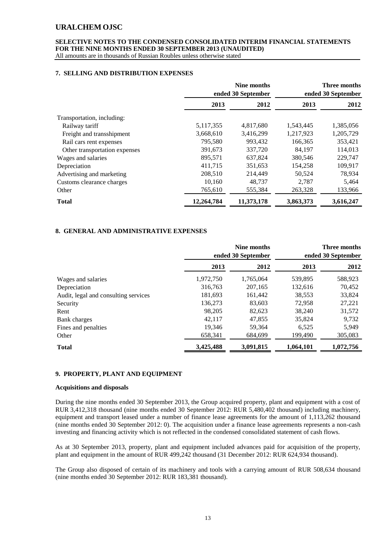### **SELECTIVE NOTES TO THE CONDENSED CONSOLIDATED INTERIM FINANCIAL STATEMENTS FOR THE NINE MONTHS ENDED 30 SEPTEMBER 2013 (UNAUDITED)**

All amounts are in thousands of Russian Roubles unless otherwise stated

#### **7. SELLING AND DISTRIBUTION EXPENSES**

|                               |            | Nine months<br>ended 30 September |           | Three months<br>ended 30 September |
|-------------------------------|------------|-----------------------------------|-----------|------------------------------------|
|                               | 2013       | 2012                              | 2013      | 2012                               |
| Transportation, including:    |            |                                   |           |                                    |
| Railway tariff                | 5,117,355  | 4,817,680                         | 1,543,445 | 1,385,056                          |
| Freight and transshipment     | 3,668,610  | 3,416,299                         | 1,217,923 | 1,205,729                          |
| Rail cars rent expenses       | 795,580    | 993,432                           | 166,365   | 353,421                            |
| Other transportation expenses | 391,673    | 337,720                           | 84.197    | 114,013                            |
| Wages and salaries            | 895,571    | 637.824                           | 380,546   | 229,747                            |
| Depreciation                  | 411,715    | 351,653                           | 154,258   | 109,917                            |
| Advertising and marketing     | 208,510    | 214,449                           | 50,524    | 78,934                             |
| Customs clearance charges     | 10,160     | 48,737                            | 2,787     | 5,464                              |
| Other                         | 765,610    | 555,384                           | 263,328   | 133,966                            |
| <b>Total</b>                  | 12,264,784 | 11,373,178                        | 3,863,373 | 3,616,247                          |

### **8. GENERAL AND ADMINISTRATIVE EXPENSES**

|                                      |           | Nine months<br>ended 30 September |           | Three months<br>ended 30 September |
|--------------------------------------|-----------|-----------------------------------|-----------|------------------------------------|
|                                      | 2013      | 2012                              | 2013      | 2012                               |
| Wages and salaries                   | 1,972,750 | 1,765,064                         | 539,895   | 588,923                            |
| Depreciation                         | 316,763   | 207.165                           | 132,616   | 70,452                             |
| Audit, legal and consulting services | 181,693   | 161,442                           | 38,553    | 33,824                             |
| Security                             | 136,273   | 83,603                            | 72,958    | 27,221                             |
| Rent                                 | 98,205    | 82,623                            | 38,240    | 31,572                             |
| Bank charges                         | 42.117    | 47,855                            | 35,824    | 9,732                              |
| Fines and penalties                  | 19,346    | 59.364                            | 6,525     | 5,949                              |
| Other                                | 658,341   | 684,699                           | 199,490   | 305,083                            |
| <b>Total</b>                         | 3,425,488 | 3,091,815                         | 1,064,101 | 1,072,756                          |

### **9. PROPERTY, PLANT AND EQUIPMENT**

#### **Acquisitions and disposals**

During the nine months ended 30 September 2013, the Group acquired property, plant and equipment with a cost of RUR 3,412,318 thousand (nine months ended 30 September 2012: RUR 5,480,402 thousand) including machinery, equipment and transport leased under a number of finance lease agreements for the amount of 1,113,262 thousand (nine months ended 30 September 2012: 0). The acquisition under a finance lease agreements represents a non-cash investing and financing activity which is not reflected in the condensed consolidated statement of cash flows.

As at 30 September 2013, property, plant and equipment included advances paid for acquisition of the property, plant and equipment in the amount of RUR 499,242 thousand (31 December 2012: RUR 624,934 thousand).

The Group also disposed of certain of its machinery and tools with a carrying amount of RUR 508,634 thousand (nine months ended 30 September 2012: RUR 183,381 thousand).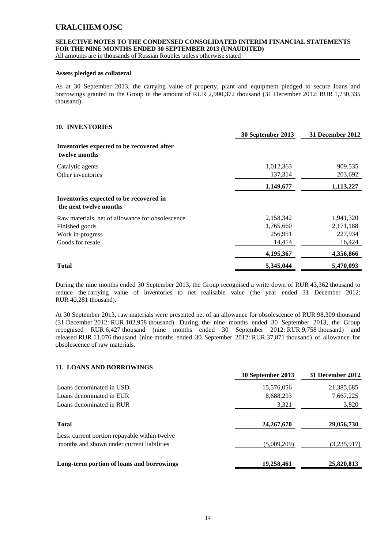### **SELECTIVE NOTES TO THE CONDENSED CONSOLIDATED INTERIM FINANCIAL STATEMENTS FOR THE NINE MONTHS ENDED 30 SEPTEMBER 2013 (UNAUDITED)**

All amounts are in thousands of Russian Roubles unless otherwise stated

#### **Assets pledged as collateral**

As at 30 September 2013, the carrying value of property, plant and equipment pledged to secure loans and borrowings granted to the Group in the amount of RUR 2,900,372 thousand (31 December 2012: RUR 1,730,335 thousand)

#### **10. INVENTORIES**

|                                                                   | 30 September 2013 | 31 December 2012 |
|-------------------------------------------------------------------|-------------------|------------------|
| Inventories expected to be recovered after<br>twelve months       |                   |                  |
| Catalytic agents                                                  | 1,012,363         | 909,535          |
| Other inventories                                                 | 137,314           | 203,692          |
|                                                                   | 1,149,677         | 1,113,227        |
| Inventories expected to be recovered in<br>the next twelve months |                   |                  |
| Raw materials, net of allowance for obsolescence                  | 2,158,342         | 1,941,320        |
| Finished goods                                                    | 1,765,660         | 2,171,188        |
| Work in-progress                                                  | 256,951           | 227,934          |
| Goods for resale                                                  | 14,414            | 16,424           |
|                                                                   | 4,195,367         | 4,356,866        |
| <b>Total</b>                                                      | 5,345,044         | 5,470,093        |

During the nine months ended 30 September 2013, the Group recognised a write down of RUR 43,362 thousand to reduce the carrying value of inventories to net realisable value (the year ended 31 December 2012: RUR 40,281 thousand).

At 30 September 2013, raw materials were presented net of an allowance for obsolescence of RUR 98,309 thousand (31 December 2012: RUR 102,958 thousand). During the nine months ended 30 September 2013, the Group recognised RUR 6,427 thousand (nine months ended 30 September 2012: RUR 9,758 thousand) and released RUR 11,076 thousand (nine months ended 30 September 2012: RUR 37,871 thousand) of allowance for obsolescence of raw materials.

### **11. LOANS AND BORROWINGS**

|                                                                                             | 30 September 2013 | 31 December 2012 |
|---------------------------------------------------------------------------------------------|-------------------|------------------|
| Loans denominated in USD                                                                    | 15,576,056        | 21,385,685       |
| Loans denominated in EUR                                                                    | 8,688,293         | 7,667,225        |
| Loans denominated in RUR                                                                    | 3,321             | 3,820            |
| <b>Total</b>                                                                                | 24, 267, 670      | 29,056,730       |
| Less: current portion repayable within twelve<br>months and shown under current liabilities | (5,009,209)       | (3,235,917)      |
| Long-term portion of loans and borrowings                                                   | 19,258,461        | 25,820,813       |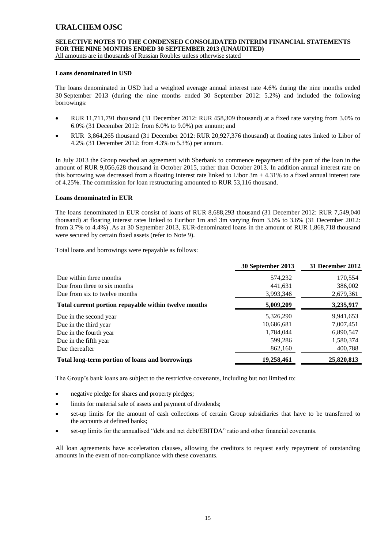# **SELECTIVE NOTES TO THE CONDENSED CONSOLIDATED INTERIM FINANCIAL STATEMENTS FOR THE NINE MONTHS ENDED 30 SEPTEMBER 2013 (UNAUDITED)**

All amounts are in thousands of Russian Roubles unless otherwise stated

#### **Loans denominated in USD**

The loans denominated in USD had a weighted average annual interest rate 4.6% during the nine months ended 30 September 2013 (during the nine months ended 30 September 2012: 5.2%) and included the following borrowings:

- RUR 11,711,791 thousand (31 December 2012: RUR 458,309 thousand) at a fixed rate varying from 3.0% to 6.0% (31 December 2012: from 6.0% to 9.0%) per annum; and
- RUR 3,864,265 thousand (31 December 2012: RUR 20,927,376 thousand) at floating rates linked to Libor of 4.2% (31 December 2012: from 4.3% to 5.3%) per annum.

In July 2013 the Group reached an agreement with Sberbank to commence repayment of the part of the loan in the amount of RUR 9,056,628 thousand in October 2015, rather than October 2013. In addition annual interest rate on this borrowing was decreased from a floating interest rate linked to Libor  $3m + 4.31\%$  to a fixed annual interest rate of 4.25%. The commission for loan restructuring amounted to RUR 53,116 thousand.

#### **Loans denominated in EUR**

The loans denominated in EUR consist of loans of RUR 8,688,293 thousand (31 December 2012: RUR 7,549,040 thousand) at floating interest rates linked to Euribor 1m and 3m varying from 3.6% to 3.6% (31 December 2012: from 3.7% to 4.4%) .As at 30 September 2013, EUR-denominated loans in the amount of RUR 1,868,718 thousand were secured by certain fixed assets (refer to Note 9).

Total loans and borrowings were repayable as follows:

|                                                      | 30 September 2013 | 31 December 2012 |
|------------------------------------------------------|-------------------|------------------|
| Due within three months                              | 574,232           | 170,554          |
| Due from three to six months                         | 441.631           | 386,002          |
| Due from six to twelve months                        | 3,993,346         | 2,679,361        |
| Total current portion repayable within twelve months | 5,009,209         | 3,235,917        |
| Due in the second year                               | 5,326,290         | 9,941,653        |
| Due in the third year                                | 10.686.681        | 7.007.451        |
| Due in the fourth year                               | 1.784.044         | 6,890,547        |
| Due in the fifth year                                | 599,286           | 1,580,374        |
| Due thereafter                                       | 862,160           | 400,788          |
| Total long-term portion of loans and borrowings      | 19,258,461        | 25,820,813       |

The Group's bank loans are subject to the restrictive covenants, including but not limited to:

- negative pledge for shares and property pledges;
- limits for material sale of assets and payment of dividends;
- set-up limits for the amount of cash collections of certain Group subsidiaries that have to be transferred to the accounts at defined banks;
- set-up limits for the annualised "debt and net debt/EBITDA" ratio and other financial covenants.

All loan agreements have acceleration clauses, allowing the creditors to request early repayment of outstanding amounts in the event of non-compliance with these covenants.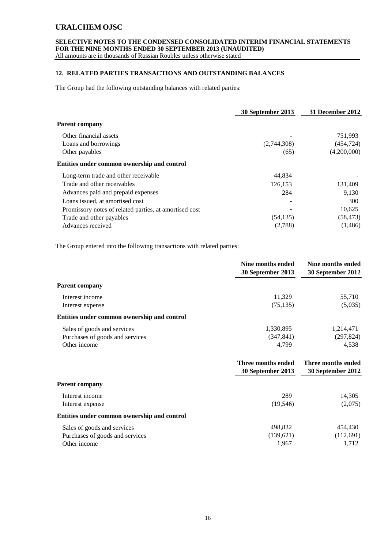### **SELECTIVE NOTES TO THE CONDENSED CONSOLIDATED INTERIM FINANCIAL STATEMENTS FOR THE NINE MONTHS ENDED 30 SEPTEMBER 2013 (UNAUDITED)**

All amounts are in thousands of Russian Roubles unless otherwise stated

### **12. RELATED PARTIES TRANSACTIONS AND OUTSTANDING BALANCES**

The Group had the following outstanding balances with related parties:

|                                                        | 30 September 2013 | 31 December 2012 |
|--------------------------------------------------------|-------------------|------------------|
| <b>Parent company</b>                                  |                   |                  |
| Other financial assets                                 |                   | 751,993          |
| Loans and borrowings                                   | (2,744,308)       | (454, 724)       |
| Other payables                                         | (65)              | (4,200,000)      |
| Entities under common ownership and control            |                   |                  |
| Long-term trade and other receivable                   | 44.834            |                  |
| Trade and other receivables                            | 126,153           | 131,409          |
| Advances paid and prepaid expenses                     | 284               | 9,130            |
| Loans issued, at amortised cost                        |                   | 300              |
| Promissory notes of related parties, at amortised cost |                   | 10,625           |
| Trade and other payables                               | (54, 135)         | (58, 473)        |
| Advances received                                      | (2,788)           | (1,486)          |
|                                                        |                   |                  |

The Group entered into the following transactions with related parties:

|                                             | Nine months ended<br>30 September 2013 | Nine months ended<br>30 September 2012 |
|---------------------------------------------|----------------------------------------|----------------------------------------|
| <b>Parent company</b>                       |                                        |                                        |
| Interest income                             | 11.329                                 | 55,710                                 |
| Interest expense                            | (75, 135)                              | (5,035)                                |
| Entities under common ownership and control |                                        |                                        |
| Sales of goods and services                 | 1,330,895                              | 1,214,471                              |
| Purchases of goods and services             | (347, 841)                             | (297, 824)                             |
| Other income                                | 4,799                                  | 4,538                                  |

|                                             | Three months ended<br>30 September 2013 | Three months ended<br>30 September 2012 |
|---------------------------------------------|-----------------------------------------|-----------------------------------------|
| <b>Parent company</b>                       |                                         |                                         |
| Interest income                             | 289                                     | 14,305                                  |
| Interest expense                            | (19, 546)                               | (2,075)                                 |
| Entities under common ownership and control |                                         |                                         |
| Sales of goods and services                 | 498,832                                 | 454,430                                 |
| Purchases of goods and services             | (139,621)                               | (112,691)                               |
| Other income                                | 1,967                                   | 1,712                                   |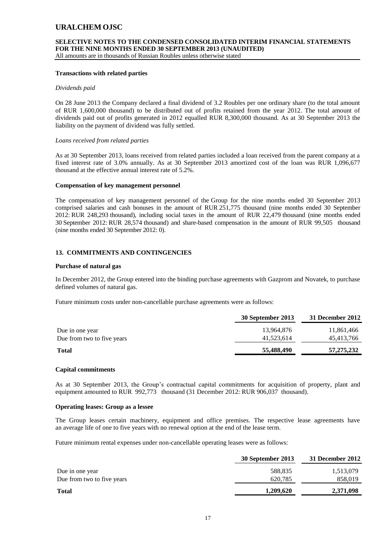# **SELECTIVE NOTES TO THE CONDENSED CONSOLIDATED INTERIM FINANCIAL STATEMENTS FOR THE NINE MONTHS ENDED 30 SEPTEMBER 2013 (UNAUDITED)**

All amounts are in thousands of Russian Roubles unless otherwise stated

#### **Transactions with related parties**

#### *Dividends paid*

On 28 June 2013 the Company declared a final dividend of 3.2 Roubles per one ordinary share (to the total amount of RUR 1,600,000 thousand) to be distributed out of profits retained from the year 2012. The total amount of dividends paid out of profits generated in 2012 equalled RUR 8,300,000 thousand. As at 30 September 2013 the liability on the payment of dividend was fully settled.

#### *Loans received from related parties*

As at 30 September 2013, loans received from related parties included a loan received from the parent company at a fixed interest rate of 3.0% annually. As at 30 September 2013 amortized cost of the loan was RUR 1,096,677 thousand at the effective annual interest rate of 5.2%.

#### **Compensation of key management personnel**

The compensation of key management personnel of the Group for the nine months ended 30 September 2013 comprised salaries and cash bonuses in the amount of RUR 251,775 thousand (nine months ended 30 September 2012: RUR 248,293 thousand), including social taxes in the amount of RUR 22,479 thousand (nine months ended 30 September 2012: RUR 28,574 thousand) and share-based compensation in the amount of RUR 99,505 thousand (nine months ended 30 September 2012: 0).

### **13. COMMITMENTS AND CONTINGENCIES**

#### **Purchase of natural gas**

In December 2012, the Group entered into the binding purchase agreements with Gazprom and Novatek, to purchase defined volumes of natural gas.

Future minimum costs under non-cancellable purchase agreements were as follows:

|                            | 30 September 2013 | 31 December 2012 |
|----------------------------|-------------------|------------------|
| Due in one year            | 13.964.876        | 11,861,466       |
| Due from two to five years | 41,523,614        | 45,413,766       |
| <b>Total</b>               | 55,488,490        | 57,275,232       |

#### **Capital commitments**

As at 30 September 2013, the Group's contractual capital commitments for acquisition of property, plant and equipment amounted to RUR 992,773 thousand (31 December 2012: RUR 906,037 thousand).

#### **Operating leases: Group as a lessee**

The Group leases certain machinery, equipment and office premises. The respective lease agreements have an average life of one to five years with no renewal option at the end of the lease term.

Future minimum rental expenses under non-cancellable operating leases were as follows:

|                            | 30 September 2013 | 31 December 2012 |
|----------------------------|-------------------|------------------|
| Due in one year            | 588,835           | 1,513,079        |
| Due from two to five years | 620.785           | 858,019          |
| <b>Total</b>               | 1,209,620         | 2,371,098        |